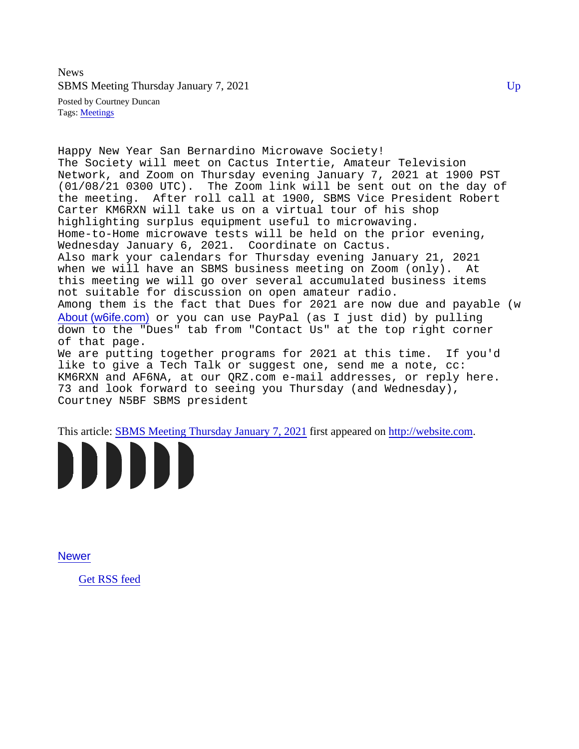News SBMS Meeting Thursday January 7, 2021 Up and the Up of the Up of the Up of the Up of the Up of the Up of the Up

Posted by Courtney Duncan Tags[: Meetings](/Blog/uhrc&CategoryId=ukpc)

Happy New Year San Bernardino Microwave Society! The Society will meet on Cactus Intertie, Amateur Television Network, and Zoom on Thursday evening January 7, 2021 at 1900 PST (01/08/21 0300 UTC). The Zoom link will be sent out on the day of the meeting. After roll call at 1900, SBMS Vice President Robert Carter KM6RXN will take us on a virtual tour of his shop highlighting surplus equipment useful to microwaving. Home-to-Home microwave tests will be held on the prior evening, Wednesday January 6, 2021. Coordinate on Cactus. Also mark your calendars for Thursday evening January 21, 2021 when we will have an SBMS business meeting on Zoom (only). At this meeting we will go over several accumulated business items not suitable for discussion on open amateur radio. Among them is the fact that Dues for 2021 are now due and payable (which I won't mention  $\epsilon$ [About \(w6ife.com\)](https://www.w6ife.com/Page/About) or you can use PayPal (as I just did) by pulling down to the "Dues" tab from "Contact Us" at the top right corner of that page. We are putting together programs for 2021 at this time. If you'd like to give a Tech Talk or suggest one, send me a note, cc: KM6RXN and AF6NA, at our QRZ.com e-mail addresses, or reply here. 73 and look forward to seeing you Thursday (and Wednesday), Courtney N5BF SBMS president

This article[: SBMS Meeting Thursday January 7, 20](/Blogpost/ukqr/SBMS-Meeting-Thursday-January-7-2021)02stappeared ohttp://website.com



[Newer](/blog.php)

[Get RSS feed](/blog_rss.php)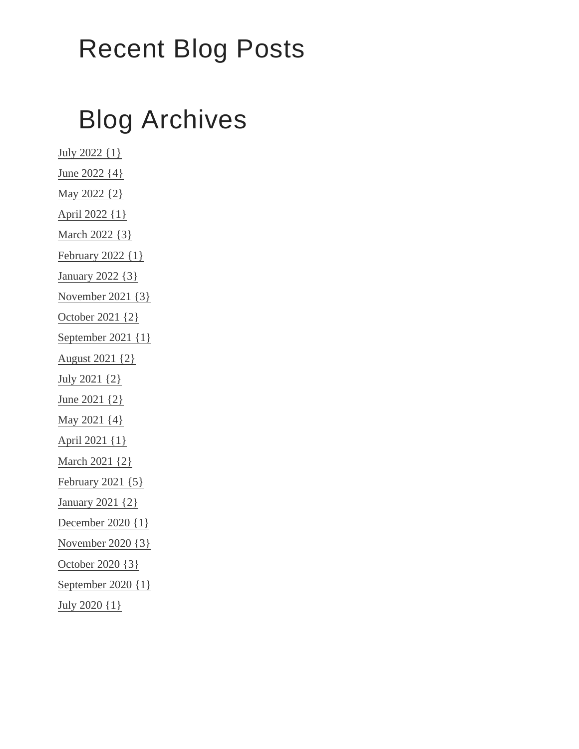## Recent Blog Posts

## Blog Archives

[July 2022 {1}](/Blog/uhrc&Date=2022-7) [June 2022 {4](/Blog/uhrc&Date=2022-6)} [May 2022 {2}](/Blog/uhrc&Date=2022-5) [April 2022 {1}](/Blog/uhrc&Date=2022-4) [March 2022 {3}](/Blog/uhrc&Date=2022-3) [February 2022 {1](/Blog/uhrc&Date=2022-2)} [January 2022 {3](/Blog/uhrc&Date=2022-1)} [November 2021 {3](/Blog/uhrc&Date=2021-11)} [October 2021 {2](/Blog/uhrc&Date=2021-10)} [September 2021 {1](/Blog/uhrc&Date=2021-9)} [August 2021 {2}](/Blog/uhrc&Date=2021-8) [July 2021 {2}](/Blog/uhrc&Date=2021-7) [June 2021 {2](/Blog/uhrc&Date=2021-6)} [May 2021 {4}](/Blog/uhrc&Date=2021-5) [April 2021 {1}](/Blog/uhrc&Date=2021-4) [March 2021 {2}](/Blog/uhrc&Date=2021-3) [February 2021 {5](/Blog/uhrc&Date=2021-2)} [January 2021 {2](/Blog/uhrc&Date=2021-1)} [December 2020 {1](/Blog/uhrc&Date=2020-12)} [November 2020 {3](/Blog/uhrc&Date=2020-11)} [October 2020 {3](/Blog/uhrc&Date=2020-10)} [September 2020 {1](/Blog/uhrc&Date=2020-9)} [July 2020 {1}](/Blog/uhrc&Date=2020-7)